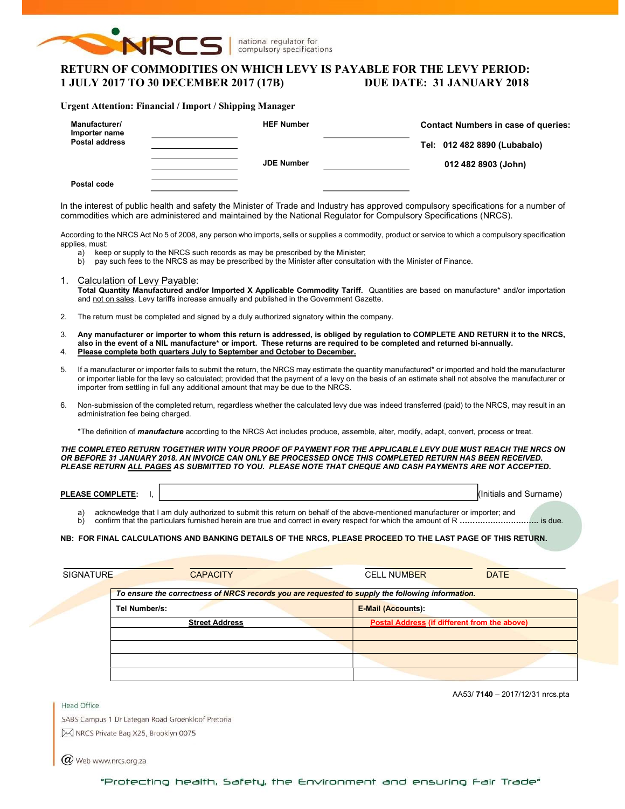

national regulator for compulsory specifications

# RETURN OF COMMODITIES ON WHICH LEVY IS PAYABLE FOR THE LEVY PERIOD: 1 JULY 2017 TO 30 DECEMBER 2017 (17B) DUE DATE: 31 JANUARY 2018

### Urgent Attention: Financial / Import / Shipping Manager

| Manufacturer/<br>Importer name<br><b>Postal address</b> | <b>HEF Number</b> | <b>Contact Numbers in case of queries:</b><br>Tel: 012 482 8890 (Lubabalo) |
|---------------------------------------------------------|-------------------|----------------------------------------------------------------------------|
|                                                         | <b>JDE Number</b> | 012 482 8903 (John)                                                        |
| Postal code                                             |                   |                                                                            |

In the interest of public health and safety the Minister of Trade and Industry has approved compulsory specifications for a number of commodities which are administered and maintained by the National Regulator for Compulsory Specifications (NRCS).

According to the NRCS Act No 5 of 2008, any person who imports, sells or supplies a commodity, product or service to which a compulsory specification applies, must:

- a) keep or supply to the NRCS such records as may be prescribed by the Minister;
- b) pay such fees to the NRCS as may be prescribed by the Minister after consultation with the Minister of Finance.
- 1. Calculation of Levy Payable:

Total Quantity Manufactured and/or Imported X Applicable Commodity Tariff. Quantities are based on manufacture\* and/or importation and not on sales. Levy tariffs increase annually and published in the Government Gazette.

- 2. The return must be completed and signed by a duly authorized signatory within the company.
- 3. Any manufacturer or importer to whom this return is addressed, is obliged by regulation to COMPLETE AND RETURN it to the NRCS, also in the event of a NIL manufacture\* or import. These returns are required to be completed and returned bi-annually. 4. Please complete both quarters July to September and October to December.
- 5. If a manufacturer or importer fails to submit the return, the NRCS may estimate the quantity manufactured\* or imported and hold the manufacturer or importer liable for the levy so calculated; provided that the payment of a levy on the basis of an estimate shall not absolve the manufacturer or importer from settling in full any additional amount that may be due to the NRCS.
- 6. Non-submission of the completed return, regardless whether the calculated levy due was indeed transferred (paid) to the NRCS, may result in an administration fee being charged.

\*The definition of *manufacture* according to the NRCS Act includes produce, assemble, alter, modify, adapt, convert, process or treat.

THE COMPLETED RETURN TOGETHER WITH YOUR PROOF OF PAYMENT FOR THE APPLICABLE LEVY DUE MUST REACH THE NRCS ON OR BEFORE 31 JANUARY 2018. AN INVOICE CAN ONLY BE PROCESSED ONCE THIS COMPLETED RETURN HAS BEEN RECEIVED. PLEASE RETURN ALL PAGES AS SUBMITTED TO YOU. PLEASE NOTE THAT CHEQUE AND CASH PAYMENTS ARE NOT ACCEPTED.

| <b>PLEA</b><br>$-$<br><b>COMP</b><br>'LEIE:<br>. JOE | "<br>…u Surnem ∶<br>. and<br>າitials<br>name |
|------------------------------------------------------|----------------------------------------------|
|                                                      |                                              |

a) acknowledge that I am duly authorized to submit this return on behalf of the above-mentioned manufacturer or importer; and b) confirm that the particulars furnished herein are true and correct in every respect for which the amount of R ………………………………. is due.

### NB: FOR FINAL CALCULATIONS AND BANKING DETAILS OF THE NRCS, PLEASE PROCEED TO THE LAST PAGE OF THIS RETURN.

| <b>SIGNATURE</b><br><b>CAPACITY</b> | <b>CELL NUMBER</b>                           | <b>DATE</b>                                                                                      |
|-------------------------------------|----------------------------------------------|--------------------------------------------------------------------------------------------------|
|                                     |                                              |                                                                                                  |
| Tel Number/s:                       | <b>E-Mail (Accounts):</b>                    |                                                                                                  |
| <b>Street Address</b>               | Postal Address (if different from the above) |                                                                                                  |
|                                     |                                              |                                                                                                  |
|                                     |                                              |                                                                                                  |
|                                     |                                              |                                                                                                  |
|                                     |                                              | To ensure the correctness of NRCS records you are requested to supply the following information. |

Head Office

AA53/ 7140 – 2017/12/31 nrcs.pta

SABS Campus 1 Dr Lategan Road Groenkloof Pretoria M NRCS Private Bag X25, Brooklyn 0075

 $(\alpha)$  Web www.nrcs.org.za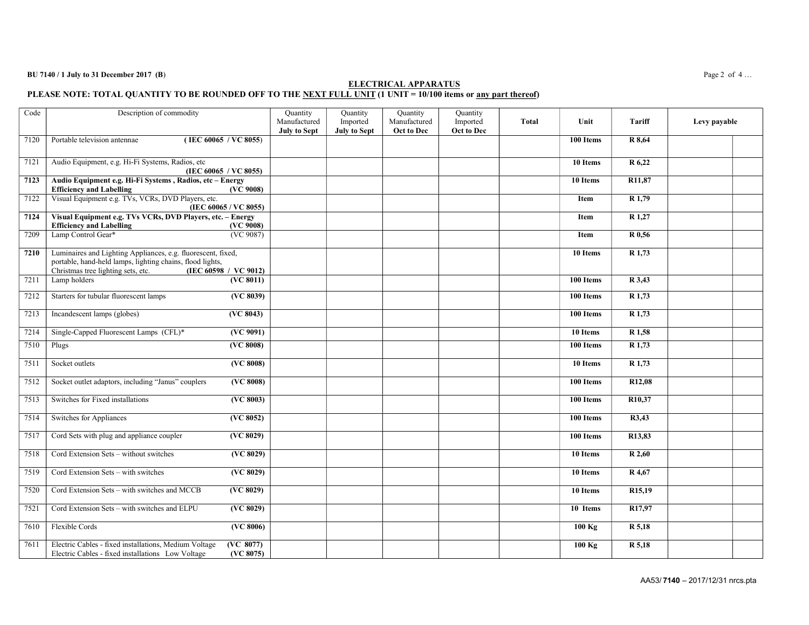#### $BU 7140 / 1$  July to 31 December 2017 (B)  $P_2Q_2$  of 4...

### ELECTRICAL APPARATUS PLEASE NOTE: TOTAL QUANTITY TO BE ROUNDED OFF TO THE NEXT FULL UNIT (1 UNIT = 10/100 items or <u>any part thereof</u>)

| Code | Description of commodity                                                                                                                                                                 |                        | Quantity<br>Manufactured<br><b>July to Sept</b> | Quantity<br>Imported<br><b>July to Sept</b> | Quantity<br>Manufactured<br>Oct to Dec | Quantity<br>Imported<br><b>Oct to Dec</b> | <b>Total</b> | Unit                   | <b>Tariff</b>       | Levy payable |
|------|------------------------------------------------------------------------------------------------------------------------------------------------------------------------------------------|------------------------|-------------------------------------------------|---------------------------------------------|----------------------------------------|-------------------------------------------|--------------|------------------------|---------------------|--------------|
| 7120 | (IEC 60065 / VC 8055)<br>Portable television antennae                                                                                                                                    |                        |                                                 |                                             |                                        |                                           |              | 100 Items              | R 8,64              |              |
| 7121 | Audio Equipment, e.g. Hi-Fi Systems, Radios, etc<br>(IEC 60065 / VC 8055)                                                                                                                |                        |                                                 |                                             |                                        |                                           |              | 10 Items               | R 6,22              |              |
| 7123 | Audio Equipment e.g. Hi-Fi Systems, Radios, etc - Energy<br><b>Efficiency</b> and Labelling                                                                                              | (VC 9008)              |                                                 |                                             |                                        |                                           |              | 10 Items               | R <sub>11</sub> ,87 |              |
| 7122 | Visual Equipment e.g. TVs, VCRs, DVD Players, etc.<br>(IEC 60065 / VC 8055)                                                                                                              |                        |                                                 |                                             |                                        |                                           |              | Item                   | R 1,79              |              |
| 7124 | Visual Equipment e.g. TVs VCRs, DVD Players, etc. - Energy<br><b>Efficiency and Labelling</b>                                                                                            | (VC 9008)              |                                                 |                                             |                                        |                                           |              | Item                   | $\overline{R}$ 1,27 |              |
| 7209 | Lamp Control Gear*                                                                                                                                                                       | (VC 9087)              |                                                 |                                             |                                        |                                           |              | Item                   | R 0,56              |              |
| 7210 | Luminaires and Lighting Appliances, e.g. fluorescent, fixed,<br>portable, hand-held lamps, lighting chains, flood lights,<br>(IEC 60598 / VC 9012)<br>Christmas tree lighting sets, etc. |                        |                                                 |                                             |                                        |                                           |              | 10 Items               | R 1,73              |              |
| 7211 | Lamp holders                                                                                                                                                                             | (VC 8011)              |                                                 |                                             |                                        |                                           |              | 100 Items              | R 3,43              |              |
| 7212 | Starters for tubular fluorescent lamps                                                                                                                                                   | $(\sqrt{VC 8039})$     |                                                 |                                             |                                        |                                           |              | 100 Items              | $R$ 1,73            |              |
| 7213 | Incandescent lamps (globes)                                                                                                                                                              | (VC 8043)              |                                                 |                                             |                                        |                                           |              | 100 Items              | R 1,73              |              |
| 7214 | Single-Capped Fluorescent Lamps (CFL)*                                                                                                                                                   | (VC 9091)              |                                                 |                                             |                                        |                                           |              | 10 Items               | R <sub>1,58</sub>   |              |
| 7510 | Plugs                                                                                                                                                                                    | (VC 8008)              |                                                 |                                             |                                        |                                           |              | 100 Items              | R 1,73              |              |
| 7511 | Socket outlets                                                                                                                                                                           | (VC 8008)              |                                                 |                                             |                                        |                                           |              | 10 Items               | $R$ 1,73            |              |
| 7512 | Socket outlet adaptors, including "Janus" couplers                                                                                                                                       | (VC 8008)              |                                                 |                                             |                                        |                                           |              | 100 Items              | R <sub>12,08</sub>  |              |
| 7513 | Switches for Fixed installations                                                                                                                                                         | (VC 8003)              |                                                 |                                             |                                        |                                           |              | 100 Items              | R <sub>10</sub> ,37 |              |
| 7514 | Switches for Appliances                                                                                                                                                                  | (VC 8052)              |                                                 |                                             |                                        |                                           |              | 100 Items              | R3,43               |              |
| 7517 | Cord Sets with plug and appliance coupler                                                                                                                                                | $(\sqrt{VC 8029})$     |                                                 |                                             |                                        |                                           |              | $\overline{100}$ Items | R <sub>13</sub> ,83 |              |
| 7518 | Cord Extension Sets - without switches                                                                                                                                                   | (VC 8029)              |                                                 |                                             |                                        |                                           |              | 10 Items               | R 2,60              |              |
| 7519 | Cord Extension Sets - with switches                                                                                                                                                      | (VC 8029)              |                                                 |                                             |                                        |                                           |              | 10 Items               | R 4,67              |              |
| 7520 | Cord Extension Sets - with switches and MCCB                                                                                                                                             | (VC 8029)              |                                                 |                                             |                                        |                                           |              | 10 Items               | R <sub>15</sub> ,19 |              |
| 7521 | Cord Extension Sets - with switches and ELPU                                                                                                                                             | (VC 8029)              |                                                 |                                             |                                        |                                           |              | 10 Items               | R <sub>17</sub> ,97 |              |
| 7610 | Flexible Cords                                                                                                                                                                           | (VC 8006)              |                                                 |                                             |                                        |                                           |              | $100$ Kg               | R 5,18              |              |
| 7611 | Electric Cables - fixed installations, Medium Voltage<br>Electric Cables - fixed installations Low Voltage                                                                               | (VC 8077)<br>(VC 8075) |                                                 |                                             |                                        |                                           |              | $100$ Kg               | R 5,18              |              |

AA53/ 7140 – 2017/12/31 nrcs.pta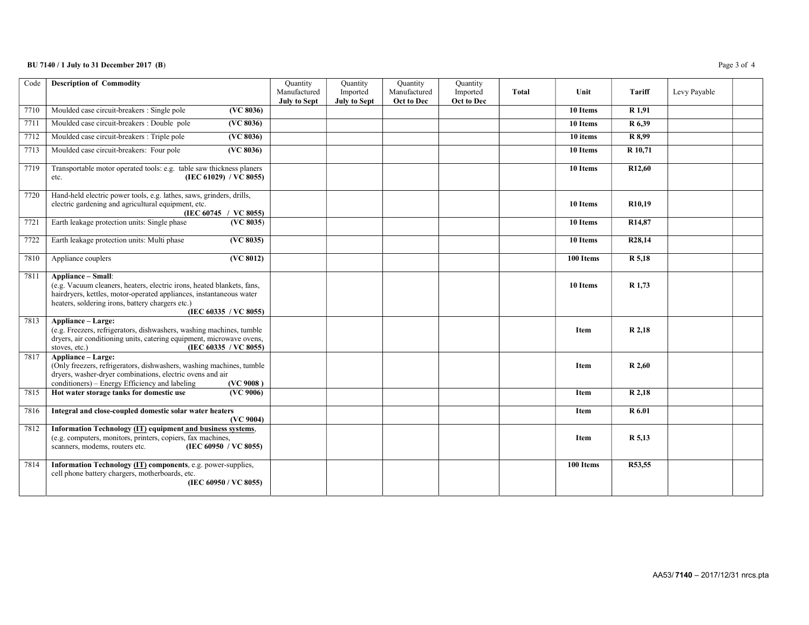### BU 7140 / 1 July to 31 December 2017 (B) Page 3 of 4

| Code | <b>Description of Commodity</b>                                                                                                                                                                                                                  | Quantity<br>Manufactured<br><b>July to Sept</b> | Quantity<br>Imported<br><b>July to Sept</b> | Quantity<br>Manufactured<br>Oct to Dec | Quantity<br>Imported<br>Oct to Dec | Total | Unit        | <b>Tariff</b>       | Levy Payable |  |
|------|--------------------------------------------------------------------------------------------------------------------------------------------------------------------------------------------------------------------------------------------------|-------------------------------------------------|---------------------------------------------|----------------------------------------|------------------------------------|-------|-------------|---------------------|--------------|--|
| 7710 | Moulded case circuit-breakers : Single pole<br>(VC 8036)                                                                                                                                                                                         |                                                 |                                             |                                        |                                    |       | 10 Items    | R 1,91              |              |  |
| 7711 | Moulded case circuit-breakers : Double pole<br>(VC 8036)                                                                                                                                                                                         |                                                 |                                             |                                        |                                    |       | 10 Items    | R 6,39              |              |  |
| 7712 | Moulded case circuit-breakers : Triple pole<br>(VC 8036)                                                                                                                                                                                         |                                                 |                                             |                                        |                                    |       | 10 items    | R 8,99              |              |  |
| 7713 | Moulded case circuit-breakers: Four pole<br>(VC 8036)                                                                                                                                                                                            |                                                 |                                             |                                        |                                    |       | 10 Items    | R 10,71             |              |  |
| 7719 | Transportable motor operated tools: e.g. table saw thickness planers<br>(IEC 61029) / VC 8055)<br>etc.                                                                                                                                           |                                                 |                                             |                                        |                                    |       | 10 Items    | R <sub>12</sub> ,60 |              |  |
| 7720 | Hand-held electric power tools, e.g. lathes, saws, grinders, drills,<br>electric gardening and agricultural equipment, etc.<br>(IEC 60745 / VC 8055)                                                                                             |                                                 |                                             |                                        |                                    |       | 10 Items    | R <sub>10</sub> ,19 |              |  |
| 7721 | Earth leakage protection units: Single phase<br>(VC 8035)                                                                                                                                                                                        |                                                 |                                             |                                        |                                    |       | 10 Items    | R <sub>14</sub> ,87 |              |  |
| 7722 | Earth leakage protection units: Multi phase<br>(VC 8035)                                                                                                                                                                                         |                                                 |                                             |                                        |                                    |       | 10 Items    | R <sub>28</sub> ,14 |              |  |
| 7810 | (VC 8012)<br>Appliance couplers                                                                                                                                                                                                                  |                                                 |                                             |                                        |                                    |       | 100 Items   | R 5,18              |              |  |
| 7811 | Appliance - Small:<br>(e.g. Vacuum cleaners, heaters, electric irons, heated blankets, fans,<br>hairdryers, kettles, motor-operated appliances, instantaneous water<br>heaters, soldering irons, battery chargers etc.)<br>(IEC 60335 / VC 8055) |                                                 |                                             |                                        |                                    |       | 10 Items    | R 1,73              |              |  |
| 7813 | Appliance - Large:<br>(e.g. Freezers, refrigerators, dishwashers, washing machines, tumble<br>dryers, air conditioning units, catering equipment, microwave ovens,<br>stoves, etc.)<br>(IEC 60335 / VC 8055)                                     |                                                 |                                             |                                        |                                    |       | Item        | R 2,18              |              |  |
| 7817 | Appliance - Large:<br>(Only freezers, refrigerators, dishwashers, washing machines, tumble<br>dryers, washer-dryer combinations, electric ovens and air<br>conditioners) – Energy Efficiency and labeling<br>(VC 9008)                           |                                                 |                                             |                                        |                                    |       | <b>Item</b> | R 2,60              |              |  |
| 7815 | Hot water storage tanks for domestic use<br>(VC 9006)                                                                                                                                                                                            |                                                 |                                             |                                        |                                    |       | <b>Item</b> | R 2,18              |              |  |
| 7816 | Integral and close-coupled domestic solar water heaters<br>(VC 9004)                                                                                                                                                                             |                                                 |                                             |                                        |                                    |       | Item        | R 6.01              |              |  |
| 7812 | Information Technology (IT) equipment and business systems,<br>(e.g. computers, monitors, printers, copiers, fax machines,<br>scanners, modems, routers etc.<br>(IEC 60950 / VC 8055)                                                            |                                                 |                                             |                                        |                                    |       | Item        | R 5,13              |              |  |
| 7814 | Information Technology (IT) components, e.g. power-supplies,<br>cell phone battery chargers, motherboards, etc.<br>(IEC 60950 / VC 8055)                                                                                                         |                                                 |                                             |                                        |                                    |       | 100 Items   | R53,55              |              |  |